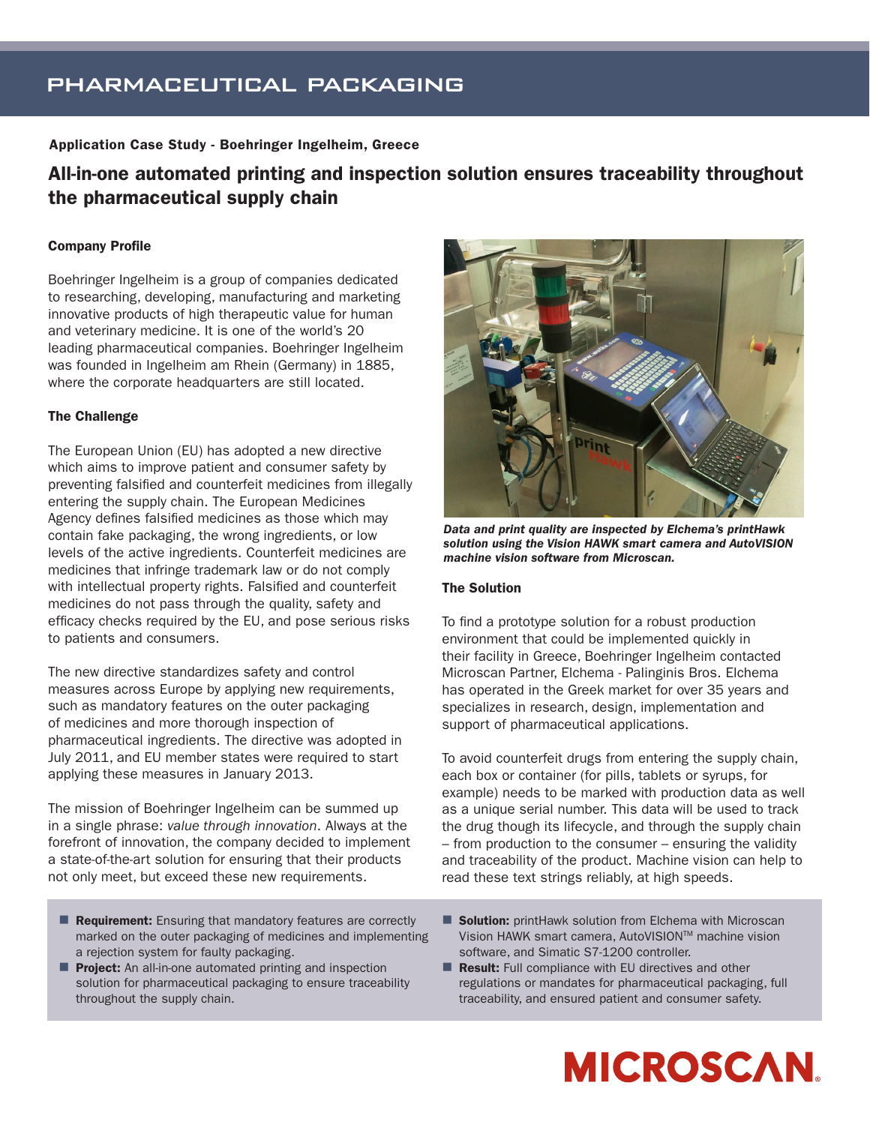## pharmaceutical packaging

### Application Case Study - Boehringer Ingelheim, Greece

### All-in-one automated printing and inspection solution ensures traceability throughout the pharmaceutical supply chain

### Company Profile

Boehringer Ingelheim is a group of companies dedicated to researching, developing, manufacturing and marketing innovative products of high therapeutic value for human and veterinary medicine. It is one of the world's 20 leading pharmaceutical companies. Boehringer Ingelheim was founded in Ingelheim am Rhein (Germany) in 1885, where the corporate headquarters are still located.

### The Challenge

The European Union (EU) has adopted a new directive which aims to improve patient and consumer safety by preventing falsified and counterfeit medicines from illegally entering the supply chain. The European Medicines Agency defines falsified medicines as those which may contain fake packaging, the wrong ingredients, or low levels of the active ingredients. Counterfeit medicines are medicines that infringe trademark law or do not comply with intellectual property rights. Falsified and counterfeit medicines do not pass through the quality, safety and efficacy checks required by the EU, and pose serious risks to patients and consumers.

The new directive standardizes safety and control measures across Europe by applying new requirements, such as mandatory features on the outer packaging of medicines and more thorough inspection of pharmaceutical ingredients. The directive was adopted in July 2011, and EU member states were required to start applying these measures in January 2013.

The mission of Boehringer Ingelheim can be summed up in a single phrase: *value through innovation*. Always at the forefront of innovation, the company decided to implement a state-of-the-art solution for ensuring that their products not only meet, but exceed these new requirements.

- Requirement: Ensuring that mandatory features are correctly marked on the outer packaging of medicines and implementing a rejection system for faulty packaging.
- **Project:** An all-in-one automated printing and inspection solution for pharmaceutical packaging to ensure traceability throughout the supply chain.



*Data and print quality are inspected by Elchema's printHawk solution using the Vision HAWK smart camera and AutoVISION machine vision software from Microscan.*

### The Solution

To find a prototype solution for a robust production environment that could be implemented quickly in their facility in Greece, Boehringer Ingelheim contacted Microscan Partner, Elchema - Palinginis Bros. Elchema has operated in the Greek market for over 35 years and specializes in research, design, implementation and support of pharmaceutical applications.

To avoid counterfeit drugs from entering the supply chain, each box or container (for pills, tablets or syrups, for example) needs to be marked with production data as well as a unique serial number. This data will be used to track the drug though its lifecycle, and through the supply chain – from production to the consumer – ensuring the validity and traceability of the product. Machine vision can help to read these text strings reliably, at high speeds.

- Solution: printHawk solution from Elchema with Microscan Vision HAWK smart camera, AutoVISIONTM machine vision software, and Simatic S7-1200 controller.
- Result: Full compliance with EU directives and other regulations or mandates for pharmaceutical packaging, full traceability, and ensured patient and consumer safety.

# **MICROSCAN.**